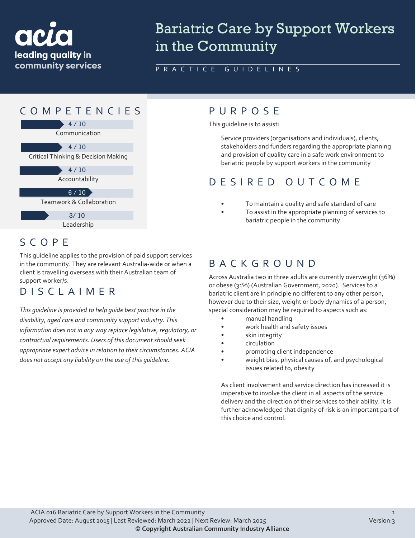

# Bariatric Care by Support Workers in the Community

PRACTICE GUIDELINES



## SCOPE

This guideline applies to the provision of paid support services in the community. They are relevant Australia-wide or when a client is travelling overseas with their Australian team of support worker/s.

#### DISCLAIMER

*This guideline is provided to help guide best practice in the disability, aged care and community support industry. This information does not in any way replace legislative, regulatory, or contractual requirements. Users of this document should seek appropriate expert advice in relation to their circumstances. ACIA does not accept any liability on the use of this guideline.*

This guideline is to assist:

Service providers (organisations and individuals), clients, stakeholders and funders regarding the appropriate planning and provision of quality care in a safe work environment to bariatric people by support workers in the community

## DESIRED OUTCOME

- To maintain a quality and safe standard of care
	- To assist in the appropriate planning of services to bariatric people in the community

#### BACKGROUND

Across Australia two in three adults are currently overweight (36%) or obese (31%) (Australian Government, 2020). Services to a bariatric client are in principle no different to any other person, however due to their size, weight or body dynamics of a person, special consideration may be required to aspects such as:

- manual handling
- work health and safety issues
- skin integrity
- circulation
- promoting client independence
- weight bias, physical causes of, and psychological issues related to, obesity

As client involvement and service direction has increased it is imperative to involve the client in all aspects of the service delivery and the direction of their services to their ability. It is further acknowledged that dignity of risk is an important part of this choice and control.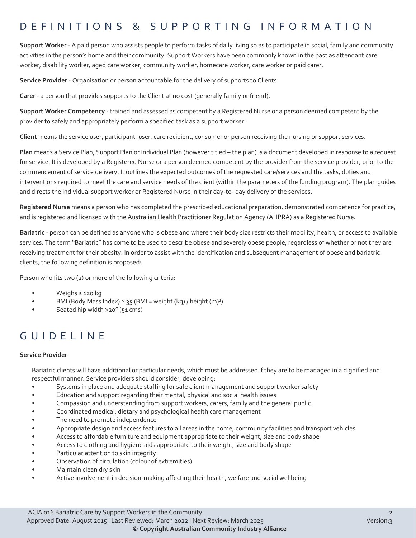#### DEFINITIONS & SUPPORTING INFORMATIO N

**Support Worker** - A paid person who assists people to perform tasks of daily living so as to participate in social, family and community activities in the person's home and their community. Support Workers have been commonly known in the past as attendant care worker, disability worker, aged care worker, community worker, homecare worker, care worker or paid carer.

**Service Provider** - Organisation or person accountable for the delivery of supports to Clients.

**Carer** - a person that provides supports to the Client at no cost (generally family or friend).

**Support Worker Competency** - trained and assessed as competent by a Registered Nurse or a person deemed competent by the provider to safely and appropriately perform a specified task as a support worker.

**Client** means the service user, participant, user, care recipient, consumer or person receiving the nursing or support services.

**Plan** means a Service Plan, Support Plan or Individual Plan (however titled – the plan) is a document developed in response to a request for service. It is developed by a Registered Nurse or a person deemed competent by the provider from the service provider, prior to the commencement of service delivery. It outlines the expected outcomes of the requested care/services and the tasks, duties and interventions required to meet the care and service needs of the client (within the parameters of the funding program). The plan guides and directs the individual support worker or Registered Nurse in their day-to- day delivery of the services.

**Registered Nurse** means a person who has completed the prescribed educational preparation, demonstrated competence for practice, and is registered and licensed with the Australian Health Practitioner Regulation Agency (AHPRA) as a Registered Nurse.

**Bariatric** - person can be defined as anyone who is obese and where their body size restricts their mobility, health, or access to available services. The term "Bariatric" has come to be used to describe obese and severely obese people, regardless of whether or not they are receiving treatment for their obesity. In order to assist with the identification and subsequent management of obese and bariatric clients, the following definition is proposed:

Person who fits two (2) or more of the following criteria:

- Weighs ≥ 120 kg
- BMI (Body Mass Index)  $\geq$  35 (BMI = weight (kg) / height (m)<sup>2</sup>)
- Seated hip width >20" (51 cms)

## GUIDELINE

#### **Service Provider**

Bariatric clients will have additional or particular needs, which must be addressed if they are to be managed in a dignified and respectful manner. Service providers should consider, developing:

- Systems in place and adequate staffing for safe client management and support worker safety
- Education and support regarding their mental, physical and social health issues
- Compassion and understanding from support workers, carers, family and the general public
- Coordinated medical, dietary and psychological health care management
- The need to promote independence
- Appropriate design and access features to all areas in the home, community facilities and transport vehicles
- Access to affordable furniture and equipment appropriate to their weight, size and body shape
- Access to clothing and hygiene aids appropriate to their weight, size and body shape
- Particular attention to skin integrity
- Observation of circulation (colour of extremities)
- Maintain clean dry skin
- Active involvement in decision-making affecting their health, welfare and social wellbeing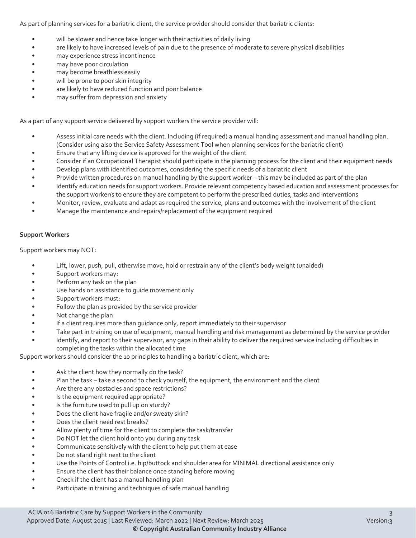As part of planning services for a bariatric client, the service provider should consider that bariatric clients:

- will be slower and hence take longer with their activities of daily living
- are likely to have increased levels of pain due to the presence of moderate to severe physical disabilities
- may experience stress incontinence
- may have poor circulation
- may become breathless easily
- will be prone to poor skin integrity
- are likely to have reduced function and poor balance
- may suffer from depression and anxiety

As a part of any support service delivered by support workers the service provider will:

- Assess initial care needs with the client. Including (if required) a manual handing assessment and manual handling plan. (Consider using also the Service Safety Assessment Tool when planning services for the bariatric client)
- Ensure that any lifting device is approved for the weight of the client
- Consider if an Occupational Therapist should participate in the planning process for the client and their equipment needs
- Develop plans with identified outcomes, considering the specific needs of a bariatric client
- Provide written procedures on manual handling by the support worker this may be included as part of the plan
- Identify education needs for support workers. Provide relevant competency based education and assessment processes for the support worker/s to ensure they are competent to perform the prescribed duties, tasks and interventions
- Monitor, review, evaluate and adapt as required the service, plans and outcomes with the involvement of the client
- Manage the maintenance and repairs/replacement of the equipment required

#### **Support Workers**

Support workers may NOT:

- Lift, lower, push, pull, otherwise move, hold or restrain any of the client's body weight (unaided)
- Support workers may:
- Perform any task on the plan
- Use hands on assistance to guide movement only
- Support workers must:
- Follow the plan as provided by the service provider
- Not change the plan
- If a client requires more than guidance only, report immediately to their supervisor
- Take part in training on use of equipment, manual handling and risk management as determined by the service provider
- Identify, and report to their supervisor, any gaps in their ability to deliver the required service including difficulties in completing the tasks within the allocated time

Support workers should consider the 10 principles to handling a bariatric client, which are:

- Ask the client how they normally do the task?
- Plan the task take a second to check yourself, the equipment, the environment and the client
- Are there any obstacles and space restrictions?
- Is the equipment required appropriate?
- Is the furniture used to pull up on sturdy?
- Does the client have fragile and/or sweaty skin?
- Does the client need rest breaks?
- Allow plenty of time for the client to complete the task/transfer
- Do NOT let the client hold onto you during any task
- Communicate sensitively with the client to help put them at ease
- Do not stand right next to the client
- Use the Points of Control i.e. hip/buttock and shoulder area for MINIMAL directional assistance only
- Ensure the client has their balance once standing before moving
- Check if the client has a manual handling plan
- Participate in training and techniques of safe manual handling